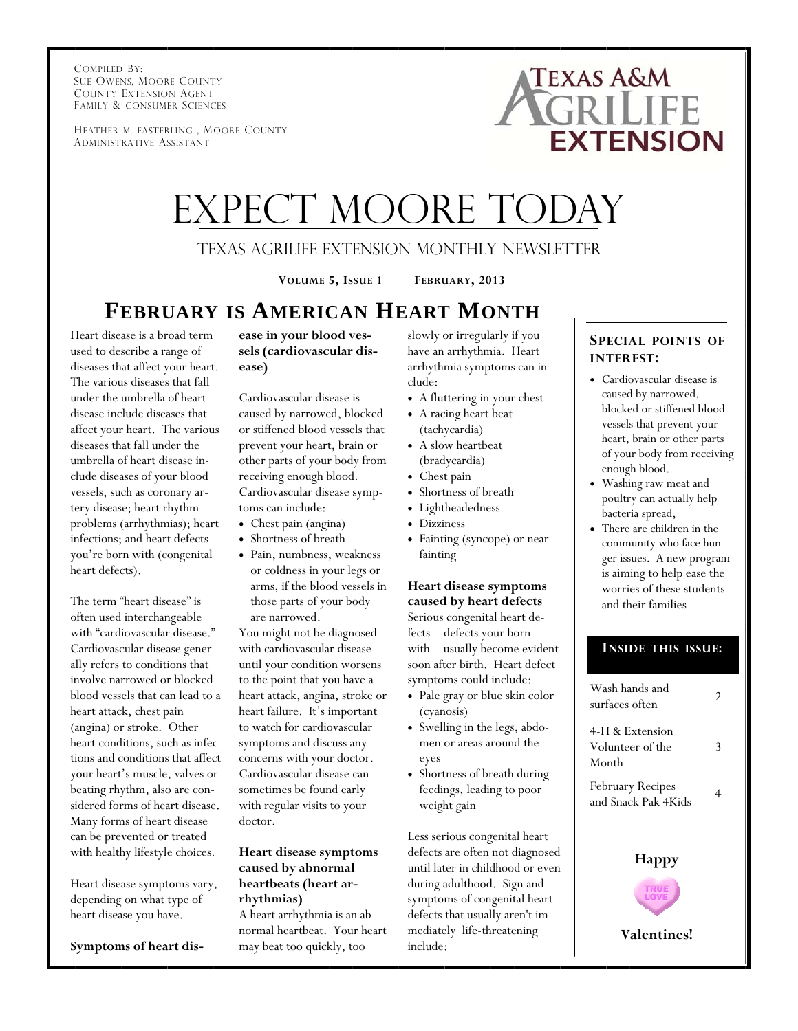COMPILED BY: SUE OWENS, MOORE COUNTY COUNTY EXTENSION AGENT FAMILY & CONSUMER SCIENCES

HEATHER M. EASTERLING , MOORE COUNTY ADMINISTRATIVE ASSISTANT

## **TEXAS A&M** GRILIFE **EXTENSION**

# EXPECT MOORE TODAY

#### Texas AgriLife Extension Monthly Newsletter

**VOLUME 5, ISSUE 1 FEBRUARY, 2013** 

#### **FEBRUARY IS AMERICAN HEART MONTH**

Heart disease is a broad term used to describe a range of diseases that affect your heart. The various diseases that fall under the umbrella of heart disease include diseases that affect your heart. The various diseases that fall under the umbrella of heart disease include diseases of your blood vessels, such as coronary artery disease; heart rhythm problems (arrhythmias); heart infections; and heart defects you're born with (congenital heart defects).

The term "heart disease" is often used interchangeable with "cardiovascular disease." Cardiovascular disease generally refers to conditions that involve narrowed or blocked blood vessels that can lead to a heart attack, chest pain (angina) or stroke. Other heart conditions, such as infections and conditions that affect your heart's muscle, valves or beating rhythm, also are considered forms of heart disease. Many forms of heart disease can be prevented or treated with healthy lifestyle choices.

Heart disease symptoms vary, depending on what type of heart disease you have.

**Symptoms of heart dis-**

**ease in your blood vessels (cardiovascular disease)** 

Cardiovascular disease is caused by narrowed, blocked or stiffened blood vessels that prevent your heart, brain or other parts of your body from receiving enough blood. Cardiovascular disease symp-

- toms can include: Chest pain (angina)
- 
- Shortness of breath
- Pain, numbness, weakness or coldness in your legs or arms, if the blood vessels in those parts of your body are narrowed.

You might not be diagnosed with cardiovascular disease until your condition worsens to the point that you have a heart attack, angina, stroke or heart failure. It's important to watch for cardiovascular symptoms and discuss any concerns with your doctor. Cardiovascular disease can sometimes be found early with regular visits to your doctor.

**Heart disease symptoms caused by abnormal heartbeats (heart arrhythmias)** 

A heart arrhythmia is an abnormal heartbeat. Your heart may beat too quickly, too

slowly or irregularly if you have an arrhythmia. Heart arrhythmia symptoms can include:

- A fluttering in your chest
- A racing heart beat (tachycardia)
- A slow heartbeat (bradycardia)
- Chest pain
- Shortness of breath
- Lightheadedness
- Dizziness
- Fainting (syncope) or near fainting

#### **Heart disease symptoms caused by heart defects**  Serious congenital heart de-

fects—defects your born with—usually become evident soon after birth. Heart defect symptoms could include:

- Pale gray or blue skin color (cyanosis)
- Swelling in the legs, abdomen or areas around the eyes
- Shortness of breath during feedings, leading to poor weight gain

Less serious congenital heart defects are often not diagnosed until later in childhood or even during adulthood. Sign and symptoms of congenital heart defects that usually aren't immediately life-threatening include:

#### **SPECIAL POINTS OF INTEREST:**

- Cardiovascular disease is caused by narrowed, blocked or stiffened blood vessels that prevent your heart, brain or other parts of your body from receiving enough blood.
- Washing raw meat and poultry can actually help bacteria spread,
- There are children in the community who face hunger issues. A new program is aiming to help ease the worries of these students and their families

#### **INSIDE THIS ISSUE:**

| Wash hands and<br>surfaces often             | 2 |
|----------------------------------------------|---|
| 4-H & Extension<br>Volunteer of the<br>Month | 3 |
| February Recipes<br>and Snack Pak 4Kids      | 4 |
| <b>Happy</b>                                 |   |
| <b>Valentines!</b>                           |   |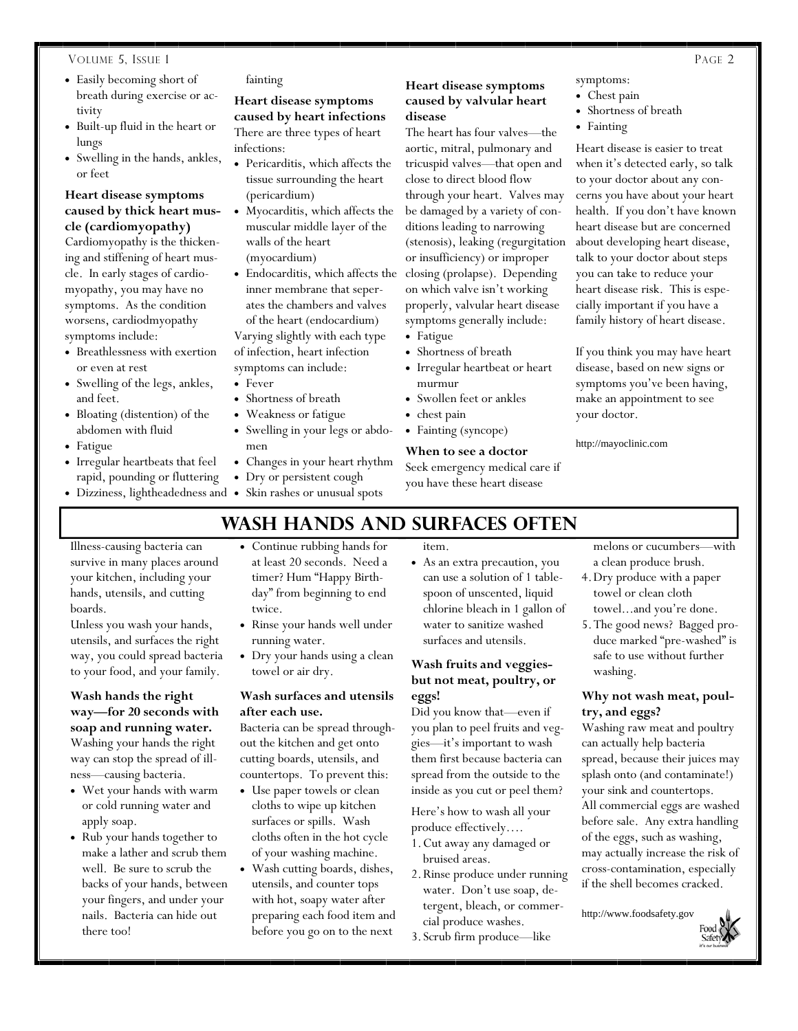VOLUME 5, ISSUE 1 PAGE 2

- Easily becoming short of breath during exercise or activity
- Built-up fluid in the heart or lungs
- Swelling in the hands, ankles, or feet

#### **Heart disease symptoms**  caused by thick heart mus- . Myocarditis, which affects the **cle (cardiomyopathy)**

Cardiomyopathy is the thickening and stiffening of heart muscle. In early stages of cardiomyopathy, you may have no symptoms. As the condition worsens, cardiodmyopathy symptoms include:

- Breathlessness with exertion or even at rest
- Swelling of the legs, ankles, and feet.
- Bloating (distention) of the abdomen with fluid
- Fatigue
- Irregular heartbeats that feel rapid, pounding or fluttering
- Dizziness, lightheadedness and Skin rashes or unusual spots

#### fainting

#### **Heart disease symptoms caused by heart infections** There are three types of heart infections:

- Pericarditis, which affects the tissue surrounding the heart (pericardium)
- muscular middle layer of the walls of the heart (myocardium)
- Endocarditis, which affects the inner membrane that seperates the chambers and valves of the heart (endocardium)
- Varying slightly with each type of infection, heart infection symptoms can include:
- Fever
- Shortness of breath
- Weakness or fatigue
- Swelling in your legs or abdomen
- Changes in your heart rhythm
- Dry or persistent cough
- 

#### **Heart disease symptoms caused by valvular heart disease**

The heart has four valves—the aortic, mitral, pulmonary and tricuspid valves—that open and close to direct blood flow through your heart. Valves may be damaged by a variety of conditions leading to narrowing (stenosis), leaking (regurgitation or insufficiency) or improper closing (prolapse). Depending on which valve isn't working properly, valvular heart disease symptoms generally include:

- Fatigue
- Shortness of breath
- Irregular heartbeat or heart murmur
- Swollen feet or ankles
- chest pain

#### • Fainting (syncope)

#### **When to see a doctor**

Seek emergency medical care if you have these heart disease

- symptoms:
- Chest pain • Shortness of breath
- Fainting

Heart disease is easier to treat when it's detected early, so talk to your doctor about any concerns you have about your heart health. If you don't have known heart disease but are concerned about developing heart disease, talk to your doctor about steps you can take to reduce your heart disease risk. This is especially important if you have a family history of heart disease.

If you think you may have heart disease, based on new signs or symptoms you've been having, make an appointment to see your doctor.

http://mayoclinic.com

Illness-causing bacteria can survive in many places around your kitchen, including your hands, utensils, and cutting boards.

Unless you wash your hands, utensils, and surfaces the right way, you could spread bacteria to your food, and your family.

#### **Wash hands the right way—for 20 seconds with soap and running water.**  Washing your hands the right way can stop the spread of illness—causing bacteria.

- Wet your hands with warm or cold running water and apply soap.
- Rub your hands together to make a lather and scrub them well. Be sure to scrub the backs of your hands, between your fingers, and under your nails. Bacteria can hide out there too!
- Continue rubbing hands for at least 20 seconds. Need a timer? Hum "Happy Birthday" from beginning to end twice.
- Rinse your hands well under running water.
- Dry your hands using a clean towel or air dry.

#### **Wash surfaces and utensils after each use.**

Bacteria can be spread throughout the kitchen and get onto cutting boards, utensils, and countertops. To prevent this:

- Use paper towels or clean cloths to wipe up kitchen surfaces or spills. Wash cloths often in the hot cycle of your washing machine.
- Wash cutting boards, dishes, utensils, and counter tops with hot, soapy water after preparing each food item and before you go on to the next

item.

**Wash Hands and Surfaces Often** 

 As an extra precaution, you can use a solution of 1 tablespoon of unscented, liquid chlorine bleach in 1 gallon of water to sanitize washed surfaces and utensils.

#### **Wash fruits and veggiesbut not meat, poultry, or eggs!**

Did you know that—even if you plan to peel fruits and veggies—it's important to wash them first because bacteria can spread from the outside to the inside as you cut or peel them?

Here's how to wash all your produce effectively….

- 1. Cut away any damaged or bruised areas.
- 2. Rinse produce under running water. Don't use soap, detergent, bleach, or commercial produce washes.
- 3. Scrub firm produce—like

melons or cucumbers—with a clean produce brush.

- 4. Dry produce with a paper towel or clean cloth towel...and you're done.
- 5. The good news? Bagged produce marked "pre-washed" is safe to use without further washing.

#### **Why not wash meat, poultry, and eggs?**

Washing raw meat and poultry can actually help bacteria spread, because their juices may splash onto (and contaminate!) your sink and countertops. All commercial eggs are washed before sale. Any extra handling of the eggs, such as washing, may actually increase the risk of cross-contamination, especially if the shell becomes cracked.

http://www.foodsafety.gov

Food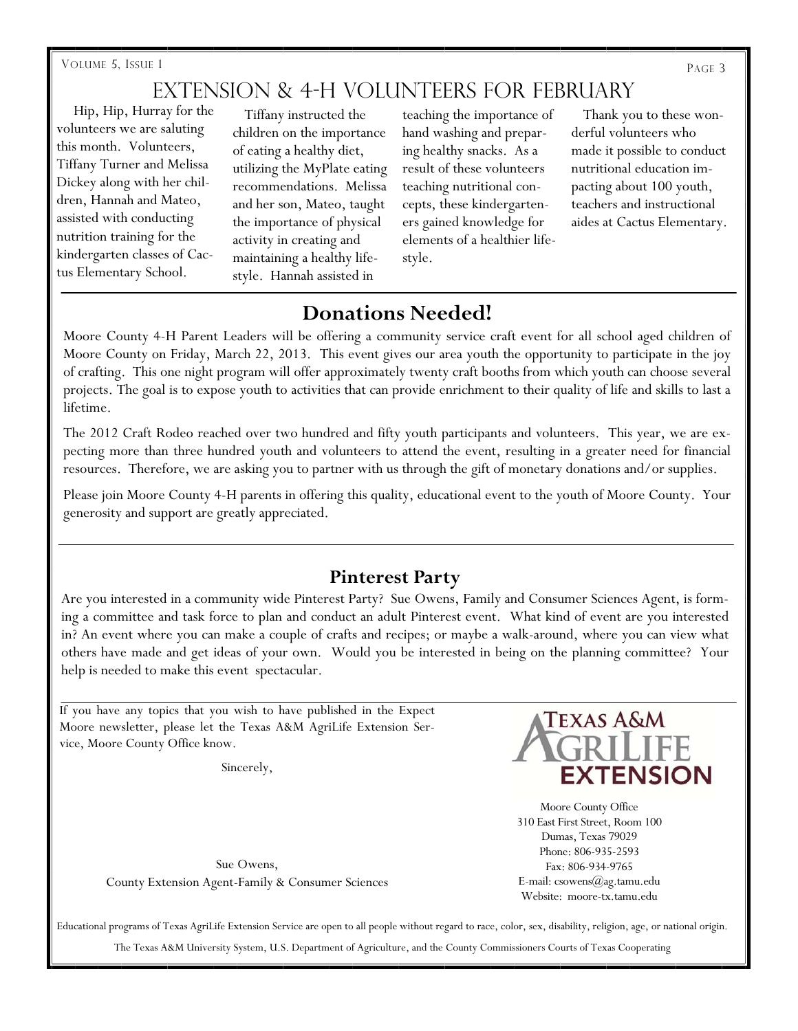#### VOLUME 5, ISSUE 1

Extension & 4-H Volunteers for February

Hip, Hip, Hurray for the volunteers we are saluting this month. Volunteers, Tiffany Turner and Melissa Dickey along with her children, Hannah and Mateo, assisted with conducting nutrition training for the kindergarten classes of Cactus Elementary School.

Tiffany instructed the children on the importance of eating a healthy diet, utilizing the MyPlate eating recommendations. Melissa and her son, Mateo, taught the importance of physical activity in creating and maintaining a healthy lifestyle. Hannah assisted in

teaching the importance of hand washing and preparing healthy snacks. As a result of these volunteers teaching nutritional concepts, these kindergarteners gained knowledge for elements of a healthier lifestyle.

Thank you to these wonderful volunteers who made it possible to conduct nutritional education impacting about 100 youth, teachers and instructional aides at Cactus Elementary.

## **Donations Needed!**

Moore County 4-H Parent Leaders will be offering a community service craft event for all school aged children of Moore County on Friday, March 22, 2013. This event gives our area youth the opportunity to participate in the joy of crafting. This one night program will offer approximately twenty craft booths from which youth can choose several projects. The goal is to expose youth to activities that can provide enrichment to their quality of life and skills to last a lifetime.

The 2012 Craft Rodeo reached over two hundred and fifty youth participants and volunteers. This year, we are expecting more than three hundred youth and volunteers to attend the event, resulting in a greater need for financial resources. Therefore, we are asking you to partner with us through the gift of monetary donations and/or supplies.

Please join Moore County 4-H parents in offering this quality, educational event to the youth of Moore County. Your generosity and support are greatly appreciated.

#### **Pinterest Party**

Are you interested in a community wide Pinterest Party? Sue Owens, Family and Consumer Sciences Agent, is forming a committee and task force to plan and conduct an adult Pinterest event. What kind of event are you interested in? An event where you can make a couple of crafts and recipes; or maybe a walk-around, where you can view what others have made and get ideas of your own. Would you be interested in being on the planning committee? Your help is needed to make this event spectacular.

If you have any topics that you wish to have published in the Expect Moore newsletter, please let the Texas A&M AgriLife Extension Service, Moore County Office know.

Sincerely,

Sue Owens, County Extension Agent-Family & Consumer Sciences



Moore County Office 310 East First Street, Room 100 Dumas, Texas 79029 Phone: 806-935-2593 Fax: 806-934-9765 E-mail: csowens@ag.tamu.edu Website: moore-tx.tamu.edu

Educational programs of Texas AgriLife Extension Service are open to all people without regard to race, color, sex, disability, religion, age, or national origin. The Texas A&M University System, U.S. Department of Agriculture, and the County Commissioners Courts of Texas Cooperating